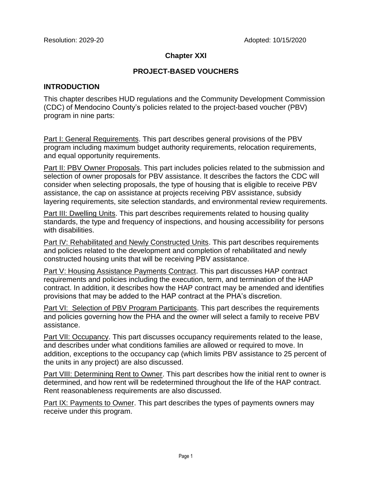## **Chapter XXI**

## **PROJECT-BASED VOUCHERS**

#### **INTRODUCTION**

This chapter describes HUD regulations and the Community Development Commission (CDC) of Mendocino County's policies related to the project-based voucher (PBV) program in nine parts:

Part I: General Requirements. This part describes general provisions of the PBV program including maximum budget authority requirements, relocation requirements, and equal opportunity requirements.

Part II: PBV Owner Proposals. This part includes policies related to the submission and selection of owner proposals for PBV assistance. It describes the factors the CDC will consider when selecting proposals, the type of housing that is eligible to receive PBV assistance, the cap on assistance at projects receiving PBV assistance, subsidy layering requirements, site selection standards, and environmental review requirements.

Part III: Dwelling Units. This part describes requirements related to housing quality standards, the type and frequency of inspections, and housing accessibility for persons with disabilities.

Part IV: Rehabilitated and Newly Constructed Units. This part describes requirements and policies related to the development and completion of rehabilitated and newly constructed housing units that will be receiving PBV assistance.

Part V: Housing Assistance Payments Contract. This part discusses HAP contract requirements and policies including the execution, term, and termination of the HAP contract. In addition, it describes how the HAP contract may be amended and identifies provisions that may be added to the HAP contract at the PHA's discretion.

Part VI: Selection of PBV Program Participants. This part describes the requirements and policies governing how the PHA and the owner will select a family to receive PBV assistance.

Part VII: Occupancy. This part discusses occupancy requirements related to the lease, and describes under what conditions families are allowed or required to move. In addition, exceptions to the occupancy cap (which limits PBV assistance to 25 percent of the units in any project) are also discussed.

Part VIII: Determining Rent to Owner. This part describes how the initial rent to owner is determined, and how rent will be redetermined throughout the life of the HAP contract. Rent reasonableness requirements are also discussed.

Part IX: Payments to Owner. This part describes the types of payments owners may receive under this program.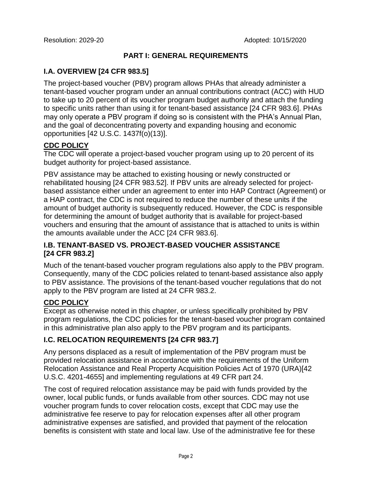#### **PART I: GENERAL REQUIREMENTS**

# **I.A. OVERVIEW [24 CFR 983.5]**

The project-based voucher (PBV) program allows PHAs that already administer a tenant-based voucher program under an annual contributions contract (ACC) with HUD to take up to 20 percent of its voucher program budget authority and attach the funding to specific units rather than using it for tenant-based assistance [24 CFR 983.6]. PHAs may only operate a PBV program if doing so is consistent with the PHA's Annual Plan, and the goal of deconcentrating poverty and expanding housing and economic opportunities [42 U.S.C. 1437f(o)(13)].

# **CDC POLICY**

The CDC will operate a project-based voucher program using up to 20 percent of its budget authority for project-based assistance.

PBV assistance may be attached to existing housing or newly constructed or rehabilitated housing [24 CFR 983.52]. If PBV units are already selected for projectbased assistance either under an agreement to enter into HAP Contract (Agreement) or a HAP contract, the CDC is not required to reduce the number of these units if the amount of budget authority is subsequently reduced. However, the CDC is responsible for determining the amount of budget authority that is available for project-based vouchers and ensuring that the amount of assistance that is attached to units is within the amounts available under the ACC [24 CFR 983.6].

# **I.B. TENANT-BASED VS. PROJECT-BASED VOUCHER ASSISTANCE [24 CFR 983.2]**

Much of the tenant-based voucher program regulations also apply to the PBV program. Consequently, many of the CDC policies related to tenant-based assistance also apply to PBV assistance. The provisions of the tenant-based voucher regulations that do not apply to the PBV program are listed at 24 CFR 983.2.

# **CDC POLICY**

Except as otherwise noted in this chapter, or unless specifically prohibited by PBV program regulations, the CDC policies for the tenant-based voucher program contained in this administrative plan also apply to the PBV program and its participants.

# **I.C. RELOCATION REQUIREMENTS [24 CFR 983.7]**

Any persons displaced as a result of implementation of the PBV program must be provided relocation assistance in accordance with the requirements of the Uniform Relocation Assistance and Real Property Acquisition Policies Act of 1970 (URA)[42 U.S.C. 4201-4655] and implementing regulations at 49 CFR part 24.

The cost of required relocation assistance may be paid with funds provided by the owner, local public funds, or funds available from other sources. CDC may not use voucher program funds to cover relocation costs, except that CDC may use the administrative fee reserve to pay for relocation expenses after all other program administrative expenses are satisfied, and provided that payment of the relocation benefits is consistent with state and local law. Use of the administrative fee for these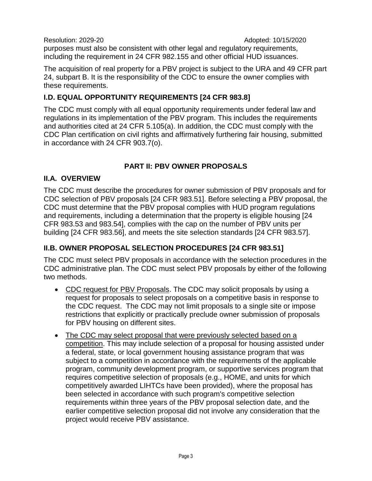Resolution: 2029-20 **Adopted: 10/15/2020** purposes must also be consistent with other legal and regulatory requirements, including the requirement in 24 CFR 982.155 and other official HUD issuances.

The acquisition of real property for a PBV project is subject to the URA and 49 CFR part 24, subpart B. It is the responsibility of the CDC to ensure the owner complies with these requirements.

# **I.D. EQUAL OPPORTUNITY REQUIREMENTS [24 CFR 983.8]**

The CDC must comply with all equal opportunity requirements under federal law and regulations in its implementation of the PBV program. This includes the requirements and authorities cited at 24 CFR 5.105(a). In addition, the CDC must comply with the CDC Plan certification on civil rights and affirmatively furthering fair housing, submitted in accordance with 24 CFR 903.7(o).

# **PART II: PBV OWNER PROPOSALS**

# **II.A. OVERVIEW**

The CDC must describe the procedures for owner submission of PBV proposals and for CDC selection of PBV proposals [24 CFR 983.51]. Before selecting a PBV proposal, the CDC must determine that the PBV proposal complies with HUD program regulations and requirements, including a determination that the property is eligible housing [24 CFR 983.53 and 983.54], complies with the cap on the number of PBV units per building [24 CFR 983.56], and meets the site selection standards [24 CFR 983.57].

# **II.B. OWNER PROPOSAL SELECTION PROCEDURES [24 CFR 983.51]**

The CDC must select PBV proposals in accordance with the selection procedures in the CDC administrative plan. The CDC must select PBV proposals by either of the following two methods.

- CDC request for PBV Proposals. The CDC may solicit proposals by using a request for proposals to select proposals on a competitive basis in response to the CDC request. The CDC may not limit proposals to a single site or impose restrictions that explicitly or practically preclude owner submission of proposals for PBV housing on different sites.
- The CDC may select proposal that were previously selected based on a competition. This may include selection of a proposal for housing assisted under a federal, state, or local government housing assistance program that was subject to a competition in accordance with the requirements of the applicable program, community development program, or supportive services program that requires competitive selection of proposals (e.g., HOME, and units for which competitively awarded LIHTCs have been provided), where the proposal has been selected in accordance with such program's competitive selection requirements within three years of the PBV proposal selection date, and the earlier competitive selection proposal did not involve any consideration that the project would receive PBV assistance.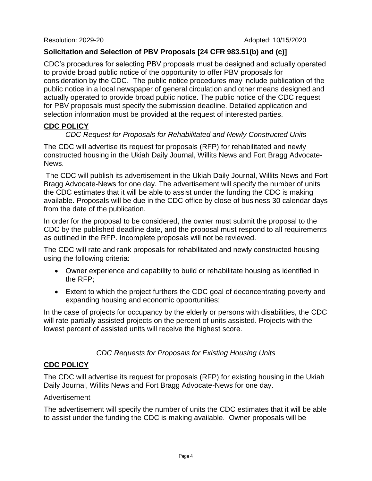## **Solicitation and Selection of PBV Proposals [24 CFR 983.51(b) and (c)]**

CDC's procedures for selecting PBV proposals must be designed and actually operated to provide broad public notice of the opportunity to offer PBV proposals for consideration by the CDC. The public notice procedures may include publication of the public notice in a local newspaper of general circulation and other means designed and actually operated to provide broad public notice. The public notice of the CDC request for PBV proposals must specify the submission deadline. Detailed application and selection information must be provided at the request of interested parties.

# **CDC POLICY**

#### *CDC Request for Proposals for Rehabilitated and Newly Constructed Units*

The CDC will advertise its request for proposals (RFP) for rehabilitated and newly constructed housing in the Ukiah Daily Journal, Willits News and Fort Bragg Advocate-News.

The CDC will publish its advertisement in the Ukiah Daily Journal, Willits News and Fort Bragg Advocate-News for one day. The advertisement will specify the number of units the CDC estimates that it will be able to assist under the funding the CDC is making available. Proposals will be due in the CDC office by close of business 30 calendar days from the date of the publication.

In order for the proposal to be considered, the owner must submit the proposal to the CDC by the published deadline date, and the proposal must respond to all requirements as outlined in the RFP. Incomplete proposals will not be reviewed.

The CDC will rate and rank proposals for rehabilitated and newly constructed housing using the following criteria:

- Owner experience and capability to build or rehabilitate housing as identified in the RFP;
- Extent to which the project furthers the CDC goal of deconcentrating poverty and expanding housing and economic opportunities;

In the case of projects for occupancy by the elderly or persons with disabilities, the CDC will rate partially assisted projects on the percent of units assisted. Projects with the lowest percent of assisted units will receive the highest score.

# *CDC Requests for Proposals for Existing Housing Units*

# **CDC POLICY**

The CDC will advertise its request for proposals (RFP) for existing housing in the Ukiah Daily Journal, Willits News and Fort Bragg Advocate-News for one day.

#### Advertisement

The advertisement will specify the number of units the CDC estimates that it will be able to assist under the funding the CDC is making available. Owner proposals will be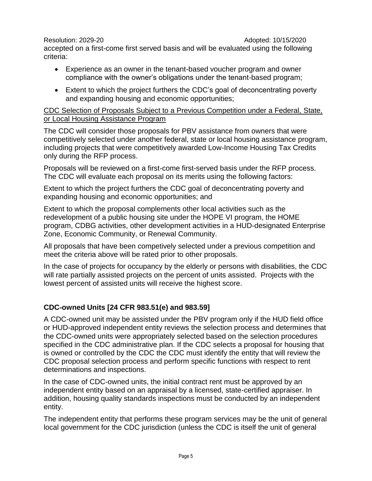accepted on a first-come first served basis and will be evaluated using the following criteria:

- Experience as an owner in the tenant-based voucher program and owner compliance with the owner's obligations under the tenant-based program;
- Extent to which the project furthers the CDC's goal of deconcentrating poverty and expanding housing and economic opportunities;

# CDC Selection of Proposals Subject to a Previous Competition under a Federal, State, or Local Housing Assistance Program

The CDC will consider those proposals for PBV assistance from owners that were competitively selected under another federal, state or local housing assistance program, including projects that were competitively awarded Low-Income Housing Tax Credits only during the RFP process.

Proposals will be reviewed on a first-come first-served basis under the RFP process. The CDC will evaluate each proposal on its merits using the following factors:

Extent to which the project furthers the CDC goal of deconcentrating poverty and expanding housing and economic opportunities; and

Extent to which the proposal complements other local activities such as the redevelopment of a public housing site under the HOPE VI program, the HOME program, CDBG activities, other development activities in a HUD-designated Enterprise Zone, Economic Community, or Renewal Community.

All proposals that have been competively selected under a previous competition and meet the criteria above will be rated prior to other proposals.

In the case of projects for occupancy by the elderly or persons with disabilities, the CDC will rate partially assisted projects on the percent of units assisted. Projects with the lowest percent of assisted units will receive the highest score.

# **CDC-owned Units [24 CFR 983.51(e) and 983.59]**

A CDC-owned unit may be assisted under the PBV program only if the HUD field office or HUD-approved independent entity reviews the selection process and determines that the CDC-owned units were appropriately selected based on the selection procedures specified in the CDC administrative plan. If the CDC selects a proposal for housing that is owned or controlled by the CDC the CDC must identify the entity that will review the CDC proposal selection process and perform specific functions with respect to rent determinations and inspections.

In the case of CDC-owned units, the initial contract rent must be approved by an independent entity based on an appraisal by a licensed, state-certified appraiser. In addition, housing quality standards inspections must be conducted by an independent entity.

The independent entity that performs these program services may be the unit of general local government for the CDC jurisdiction (unless the CDC is itself the unit of general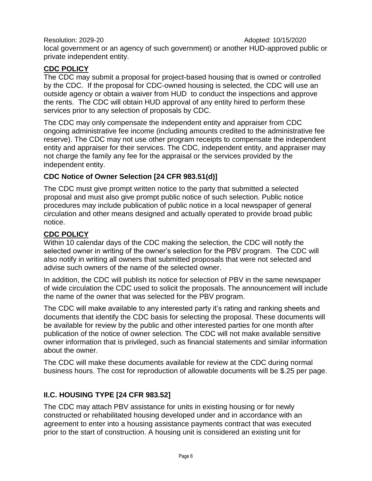Resolution: 2029-20 **Adopted: 10/15/2020** local government or an agency of such government) or another HUD-approved public or private independent entity.

# **CDC POLICY**

The CDC may submit a proposal for project-based housing that is owned or controlled by the CDC. If the proposal for CDC-owned housing is selected, the CDC will use an outside agency or obtain a waiver from HUD to conduct the inspections and approve the rents. The CDC will obtain HUD approval of any entity hired to perform these services prior to any selection of proposals by CDC.

The CDC may only compensate the independent entity and appraiser from CDC ongoing administrative fee income (including amounts credited to the administrative fee reserve). The CDC may not use other program receipts to compensate the independent entity and appraiser for their services. The CDC, independent entity, and appraiser may not charge the family any fee for the appraisal or the services provided by the independent entity.

# **CDC Notice of Owner Selection [24 CFR 983.51(d)]**

The CDC must give prompt written notice to the party that submitted a selected proposal and must also give prompt public notice of such selection. Public notice procedures may include publication of public notice in a local newspaper of general circulation and other means designed and actually operated to provide broad public notice.

# **CDC POLICY**

Within 10 calendar days of the CDC making the selection, the CDC will notify the selected owner in writing of the owner's selection for the PBV program. The CDC will also notify in writing all owners that submitted proposals that were not selected and advise such owners of the name of the selected owner.

In addition, the CDC will publish its notice for selection of PBV in the same newspaper of wide circulation the CDC used to solicit the proposals. The announcement will include the name of the owner that was selected for the PBV program.

The CDC will make available to any interested party it's rating and ranking sheets and documents that identify the CDC basis for selecting the proposal. These documents will be available for review by the public and other interested parties for one month after publication of the notice of owner selection. The CDC will not make available sensitive owner information that is privileged, such as financial statements and similar information about the owner.

The CDC will make these documents available for review at the CDC during normal business hours. The cost for reproduction of allowable documents will be \$.25 per page.

# **II.C. HOUSING TYPE [24 CFR 983.52]**

The CDC may attach PBV assistance for units in existing housing or for newly constructed or rehabilitated housing developed under and in accordance with an agreement to enter into a housing assistance payments contract that was executed prior to the start of construction. A housing unit is considered an existing unit for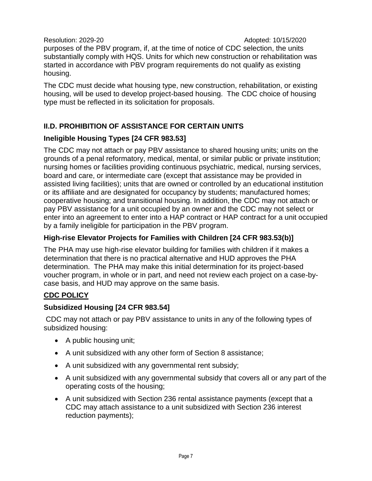Resolution: 2029-20 **Adopted: 10/15/2020** purposes of the PBV program, if, at the time of notice of CDC selection, the units substantially comply with HQS. Units for which new construction or rehabilitation was started in accordance with PBV program requirements do not qualify as existing housing.

The CDC must decide what housing type, new construction, rehabilitation, or existing housing, will be used to develop project-based housing. The CDC choice of housing type must be reflected in its solicitation for proposals.

# **II.D. PROHIBITION OF ASSISTANCE FOR CERTAIN UNITS**

# **Ineligible Housing Types [24 CFR 983.53]**

The CDC may not attach or pay PBV assistance to shared housing units; units on the grounds of a penal reformatory, medical, mental, or similar public or private institution; nursing homes or facilities providing continuous psychiatric, medical, nursing services, board and care, or intermediate care (except that assistance may be provided in assisted living facilities); units that are owned or controlled by an educational institution or its affiliate and are designated for occupancy by students; manufactured homes; cooperative housing; and transitional housing. In addition, the CDC may not attach or pay PBV assistance for a unit occupied by an owner and the CDC may not select or enter into an agreement to enter into a HAP contract or HAP contract for a unit occupied by a family ineligible for participation in the PBV program.

# **High-rise Elevator Projects for Families with Children [24 CFR 983.53(b)]**

The PHA may use high-rise elevator building for families with children if it makes a determination that there is no practical alternative and HUD approves the PHA determination. The PHA may make this initial determination for its project-based voucher program, in whole or in part, and need not review each project on a case-bycase basis, and HUD may approve on the same basis.

# **CDC POLICY**

# **Subsidized Housing [24 CFR 983.54]**

CDC may not attach or pay PBV assistance to units in any of the following types of subsidized housing:

- A public housing unit;
- A unit subsidized with any other form of Section 8 assistance;
- A unit subsidized with any governmental rent subsidy;
- A unit subsidized with any governmental subsidy that covers all or any part of the operating costs of the housing;
- A unit subsidized with Section 236 rental assistance payments (except that a CDC may attach assistance to a unit subsidized with Section 236 interest reduction payments);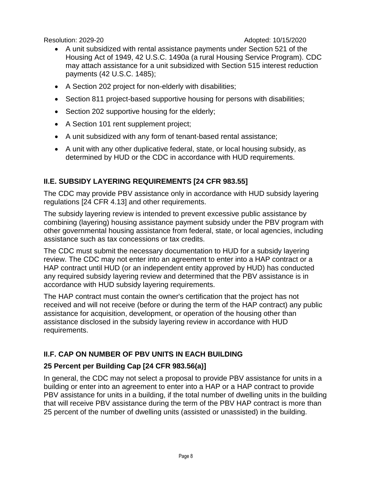- A unit subsidized with rental assistance payments under Section 521 of the Housing Act of 1949, 42 U.S.C. 1490a (a rural Housing Service Program). CDC may attach assistance for a unit subsidized with Section 515 interest reduction payments (42 U.S.C. 1485);
- A Section 202 project for non-elderly with disabilities;
- Section 811 project-based supportive housing for persons with disabilities;
- Section 202 supportive housing for the elderly;
- A Section 101 rent supplement project;
- A unit subsidized with any form of tenant-based rental assistance;
- A unit with any other duplicative federal, state, or local housing subsidy, as determined by HUD or the CDC in accordance with HUD requirements.

# **II.E. SUBSIDY LAYERING REQUIREMENTS [24 CFR 983.55]**

The CDC may provide PBV assistance only in accordance with HUD subsidy layering regulations [24 CFR 4.13] and other requirements.

The subsidy layering review is intended to prevent excessive public assistance by combining (layering) housing assistance payment subsidy under the PBV program with other governmental housing assistance from federal, state, or local agencies, including assistance such as tax concessions or tax credits.

The CDC must submit the necessary documentation to HUD for a subsidy layering review. The CDC may not enter into an agreement to enter into a HAP contract or a HAP contract until HUD (or an independent entity approved by HUD) has conducted any required subsidy layering review and determined that the PBV assistance is in accordance with HUD subsidy layering requirements.

The HAP contract must contain the owner's certification that the project has not received and will not receive (before or during the term of the HAP contract) any public assistance for acquisition, development, or operation of the housing other than assistance disclosed in the subsidy layering review in accordance with HUD requirements.

# **II.F. CAP ON NUMBER OF PBV UNITS IN EACH BUILDING**

# **25 Percent per Building Cap [24 CFR 983.56(a)]**

In general, the CDC may not select a proposal to provide PBV assistance for units in a building or enter into an agreement to enter into a HAP or a HAP contract to provide PBV assistance for units in a building, if the total number of dwelling units in the building that will receive PBV assistance during the term of the PBV HAP contract is more than 25 percent of the number of dwelling units (assisted or unassisted) in the building.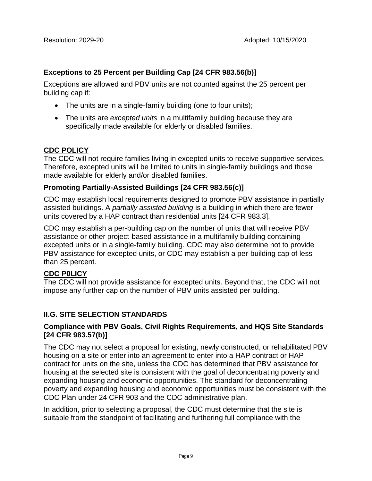# **Exceptions to 25 Percent per Building Cap [24 CFR 983.56(b)]**

Exceptions are allowed and PBV units are not counted against the 25 percent per building cap if:

- The units are in a single-family building (one to four units);
- The units are *excepted units* in a multifamily building because they are specifically made available for elderly or disabled families.

# **CDC POLICY**

The CDC will not require families living in excepted units to receive supportive services. Therefore, excepted units will be limited to units in single-family buildings and those made available for elderly and/or disabled families.

#### **Promoting Partially-Assisted Buildings [24 CFR 983.56(c)]**

CDC may establish local requirements designed to promote PBV assistance in partially assisted buildings. A *partially assisted building* is a building in which there are fewer units covered by a HAP contract than residential units [24 CFR 983.3].

CDC may establish a per-building cap on the number of units that will receive PBV assistance or other project-based assistance in a multifamily building containing excepted units or in a single-family building. CDC may also determine not to provide PBV assistance for excepted units, or CDC may establish a per-building cap of less than 25 percent.

# **CDC P0LICY**

The CDC will not provide assistance for excepted units. Beyond that, the CDC will not impose any further cap on the number of PBV units assisted per building.

# **II.G. SITE SELECTION STANDARDS**

#### **Compliance with PBV Goals, Civil Rights Requirements, and HQS Site Standards [24 CFR 983.57(b)]**

The CDC may not select a proposal for existing, newly constructed, or rehabilitated PBV housing on a site or enter into an agreement to enter into a HAP contract or HAP contract for units on the site, unless the CDC has determined that PBV assistance for housing at the selected site is consistent with the goal of deconcentrating poverty and expanding housing and economic opportunities. The standard for deconcentrating poverty and expanding housing and economic opportunities must be consistent with the CDC Plan under 24 CFR 903 and the CDC administrative plan.

In addition, prior to selecting a proposal, the CDC must determine that the site is suitable from the standpoint of facilitating and furthering full compliance with the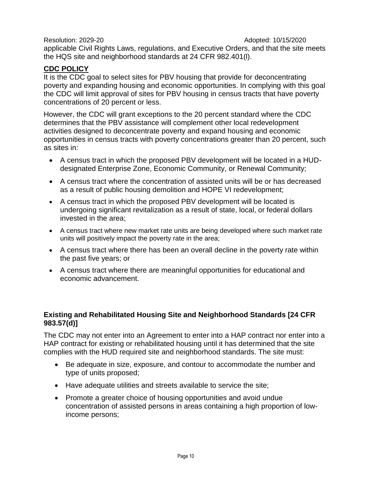Resolution: 2029-20 **Adopted: 10/15/2020** applicable Civil Rights Laws, regulations, and Executive Orders, and that the site meets the HQS site and neighborhood standards at 24 CFR 982.401(l).

# **CDC POLICY**

It is the CDC goal to select sites for PBV housing that provide for deconcentrating poverty and expanding housing and economic opportunities. In complying with this goal the CDC will limit approval of sites for PBV housing in census tracts that have poverty concentrations of 20 percent or less.

However, the CDC will grant exceptions to the 20 percent standard where the CDC determines that the PBV assistance will complement other local redevelopment activities designed to deconcentrate poverty and expand housing and economic opportunities in census tracts with poverty concentrations greater than 20 percent, such as sites in:

- A census tract in which the proposed PBV development will be located in a HUDdesignated Enterprise Zone, Economic Community, or Renewal Community;
- A census tract where the concentration of assisted units will be or has decreased as a result of public housing demolition and HOPE VI redevelopment;
- A census tract in which the proposed PBV development will be located is undergoing significant revitalization as a result of state, local, or federal dollars invested in the area;
- A census tract where new market rate units are being developed where such market rate units will positively impact the poverty rate in the area;
- A census tract where there has been an overall decline in the poverty rate within the past five years; or
- A census tract where there are meaningful opportunities for educational and economic advancement.

#### **Existing and Rehabilitated Housing Site and Neighborhood Standards [24 CFR 983.57(d)]**

The CDC may not enter into an Agreement to enter into a HAP contract nor enter into a HAP contract for existing or rehabilitated housing until it has determined that the site complies with the HUD required site and neighborhood standards. The site must:

- Be adequate in size, exposure, and contour to accommodate the number and type of units proposed;
- Have adequate utilities and streets available to service the site;
- Promote a greater choice of housing opportunities and avoid undue concentration of assisted persons in areas containing a high proportion of lowincome persons;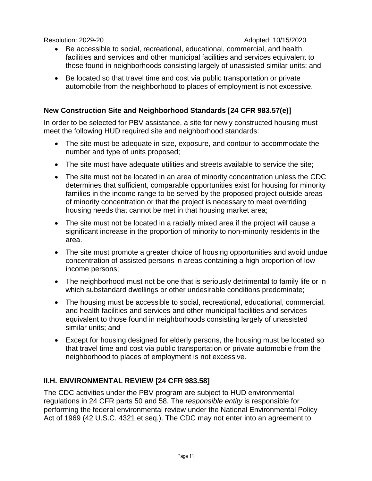- Be accessible to social, recreational, educational, commercial, and health facilities and services and other municipal facilities and services equivalent to those found in neighborhoods consisting largely of unassisted similar units; and
- Be located so that travel time and cost via public transportation or private automobile from the neighborhood to places of employment is not excessive.

#### **New Construction Site and Neighborhood Standards [24 CFR 983.57(e)]**

In order to be selected for PBV assistance, a site for newly constructed housing must meet the following HUD required site and neighborhood standards:

- The site must be adequate in size, exposure, and contour to accommodate the number and type of units proposed;
- The site must have adequate utilities and streets available to service the site;
- The site must not be located in an area of minority concentration unless the CDC determines that sufficient, comparable opportunities exist for housing for minority families in the income range to be served by the proposed project outside areas of minority concentration or that the project is necessary to meet overriding housing needs that cannot be met in that housing market area;
- The site must not be located in a racially mixed area if the project will cause a significant increase in the proportion of minority to non-minority residents in the area.
- The site must promote a greater choice of housing opportunities and avoid undue concentration of assisted persons in areas containing a high proportion of lowincome persons;
- The neighborhood must not be one that is seriously detrimental to family life or in which substandard dwellings or other undesirable conditions predominate;
- The housing must be accessible to social, recreational, educational, commercial, and health facilities and services and other municipal facilities and services equivalent to those found in neighborhoods consisting largely of unassisted similar units; and
- Except for housing designed for elderly persons, the housing must be located so that travel time and cost via public transportation or private automobile from the neighborhood to places of employment is not excessive.

# **II.H. ENVIRONMENTAL REVIEW [24 CFR 983.58]**

The CDC activities under the PBV program are subject to HUD environmental regulations in 24 CFR parts 50 and 58. The *responsible entity* is responsible for performing the federal environmental review under the National Environmental Policy Act of 1969 (42 U.S.C. 4321 et seq.). The CDC may not enter into an agreement to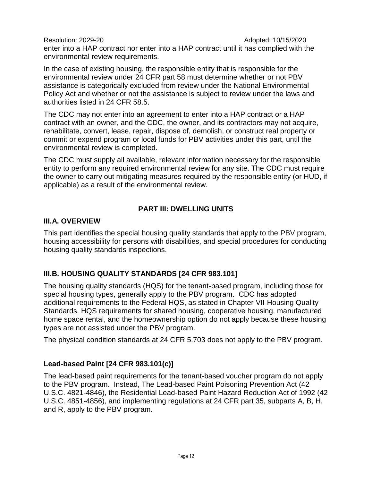Resolution: 2029-20 **Adopted: 10/15/2020** enter into a HAP contract nor enter into a HAP contract until it has complied with the environmental review requirements.

In the case of existing housing, the responsible entity that is responsible for the environmental review under 24 CFR part 58 must determine whether or not PBV assistance is categorically excluded from review under the National Environmental Policy Act and whether or not the assistance is subject to review under the laws and authorities listed in 24 CFR 58.5.

The CDC may not enter into an agreement to enter into a HAP contract or a HAP contract with an owner, and the CDC, the owner, and its contractors may not acquire, rehabilitate, convert, lease, repair, dispose of, demolish, or construct real property or commit or expend program or local funds for PBV activities under this part, until the environmental review is completed.

The CDC must supply all available, relevant information necessary for the responsible entity to perform any required environmental review for any site. The CDC must require the owner to carry out mitigating measures required by the responsible entity (or HUD, if applicable) as a result of the environmental review.

# **PART III: DWELLING UNITS**

# **III.A. OVERVIEW**

This part identifies the special housing quality standards that apply to the PBV program, housing accessibility for persons with disabilities, and special procedures for conducting housing quality standards inspections.

# **III.B. HOUSING QUALITY STANDARDS [24 CFR 983.101]**

The housing quality standards (HQS) for the tenant-based program, including those for special housing types, generally apply to the PBV program. CDC has adopted additional requirements to the Federal HQS, as stated in Chapter VII-Housing Quality Standards. HQS requirements for shared housing, cooperative housing, manufactured home space rental, and the homeownership option do not apply because these housing types are not assisted under the PBV program.

The physical condition standards at 24 CFR 5.703 does not apply to the PBV program.

# **Lead-based Paint [24 CFR 983.101(c)]**

The lead-based paint requirements for the tenant-based voucher program do not apply to the PBV program. Instead, The Lead-based Paint Poisoning Prevention Act (42 U.S.C. 4821-4846), the Residential Lead-based Paint Hazard Reduction Act of 1992 (42 U.S.C. 4851-4856), and implementing regulations at 24 CFR part 35, subparts A, B, H, and R, apply to the PBV program.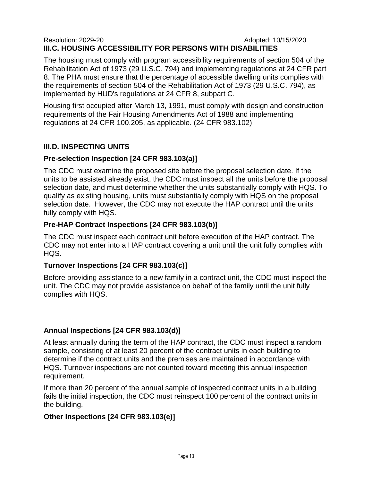#### Resolution: 2029-20 **Adopted: 10/15/2020 III.C. HOUSING ACCESSIBILITY FOR PERSONS WITH DISABILITIES**

The housing must comply with program accessibility requirements of section 504 of the Rehabilitation Act of 1973 (29 U.S.C. 794) and implementing regulations at 24 CFR part 8. The PHA must ensure that the percentage of accessible dwelling units complies with the requirements of section 504 of the Rehabilitation Act of 1973 (29 U.S.C. 794), as implemented by HUD's regulations at 24 CFR 8, subpart C.

Housing first occupied after March 13, 1991, must comply with design and construction requirements of the Fair Housing Amendments Act of 1988 and implementing regulations at 24 CFR 100.205, as applicable. (24 CFR 983.102)

#### **III.D. INSPECTING UNITS**

#### **Pre-selection Inspection [24 CFR 983.103(a)]**

The CDC must examine the proposed site before the proposal selection date. If the units to be assisted already exist, the CDC must inspect all the units before the proposal selection date, and must determine whether the units substantially comply with HQS. To qualify as existing housing, units must substantially comply with HQS on the proposal selection date. However, the CDC may not execute the HAP contract until the units fully comply with HQS.

#### **Pre-HAP Contract Inspections [24 CFR 983.103(b)]**

The CDC must inspect each contract unit before execution of the HAP contract. The CDC may not enter into a HAP contract covering a unit until the unit fully complies with HQS.

#### **Turnover Inspections [24 CFR 983.103(c)]**

Before providing assistance to a new family in a contract unit, the CDC must inspect the unit. The CDC may not provide assistance on behalf of the family until the unit fully complies with HQS.

# **Annual Inspections [24 CFR 983.103(d)]**

At least annually during the term of the HAP contract, the CDC must inspect a random sample, consisting of at least 20 percent of the contract units in each building to determine if the contract units and the premises are maintained in accordance with HQS. Turnover inspections are not counted toward meeting this annual inspection requirement.

If more than 20 percent of the annual sample of inspected contract units in a building fails the initial inspection, the CDC must reinspect 100 percent of the contract units in the building.

# **Other Inspections [24 CFR 983.103(e)]**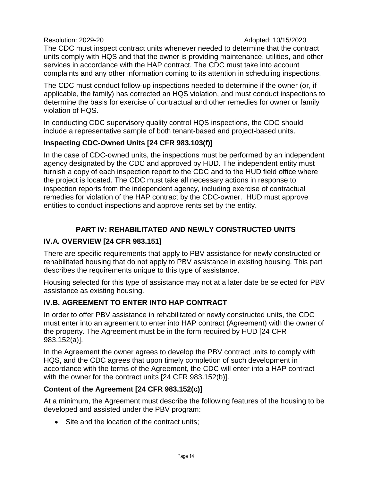The CDC must inspect contract units whenever needed to determine that the contract units comply with HQS and that the owner is providing maintenance, utilities, and other services in accordance with the HAP contract. The CDC must take into account complaints and any other information coming to its attention in scheduling inspections.

The CDC must conduct follow-up inspections needed to determine if the owner (or, if applicable, the family) has corrected an HQS violation, and must conduct inspections to determine the basis for exercise of contractual and other remedies for owner or family violation of HQS.

In conducting CDC supervisory quality control HQS inspections, the CDC should include a representative sample of both tenant-based and project-based units.

#### **Inspecting CDC-Owned Units [24 CFR 983.103(f)]**

In the case of CDC-owned units, the inspections must be performed by an independent agency designated by the CDC and approved by HUD. The independent entity must furnish a copy of each inspection report to the CDC and to the HUD field office where the project is located. The CDC must take all necessary actions in response to inspection reports from the independent agency, including exercise of contractual remedies for violation of the HAP contract by the CDC-owner. HUD must approve entities to conduct inspections and approve rents set by the entity.

# **PART IV: REHABILITATED AND NEWLY CONSTRUCTED UNITS**

## **IV.A. OVERVIEW [24 CFR 983.151]**

There are specific requirements that apply to PBV assistance for newly constructed or rehabilitated housing that do not apply to PBV assistance in existing housing. This part describes the requirements unique to this type of assistance.

Housing selected for this type of assistance may not at a later date be selected for PBV assistance as existing housing.

#### **IV.B. AGREEMENT TO ENTER INTO HAP CONTRACT**

In order to offer PBV assistance in rehabilitated or newly constructed units, the CDC must enter into an agreement to enter into HAP contract (Agreement) with the owner of the property. The Agreement must be in the form required by HUD [24 CFR 983.152(a)].

In the Agreement the owner agrees to develop the PBV contract units to comply with HQS, and the CDC agrees that upon timely completion of such development in accordance with the terms of the Agreement, the CDC will enter into a HAP contract with the owner for the contract units [24 CFR 983.152(b)].

#### **Content of the Agreement [24 CFR 983.152(c)]**

At a minimum, the Agreement must describe the following features of the housing to be developed and assisted under the PBV program:

• Site and the location of the contract units: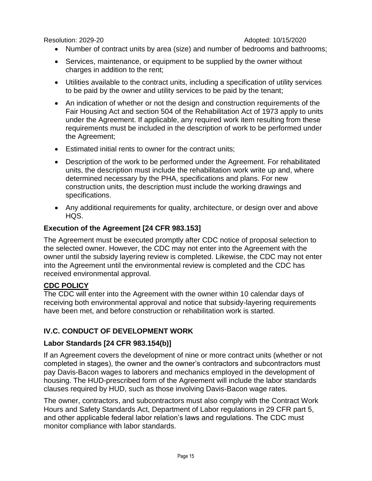- Number of contract units by area (size) and number of bedrooms and bathrooms;
- Services, maintenance, or equipment to be supplied by the owner without charges in addition to the rent;
- Utilities available to the contract units, including a specification of utility services to be paid by the owner and utility services to be paid by the tenant;
- An indication of whether or not the design and construction requirements of the Fair Housing Act and section 504 of the Rehabilitation Act of 1973 apply to units under the Agreement. If applicable, any required work item resulting from these requirements must be included in the description of work to be performed under the Agreement;
- Estimated initial rents to owner for the contract units;
- Description of the work to be performed under the Agreement. For rehabilitated units, the description must include the rehabilitation work write up and, where determined necessary by the PHA, specifications and plans. For new construction units, the description must include the working drawings and specifications.
- Any additional requirements for quality, architecture, or design over and above HQS.

# **Execution of the Agreement [24 CFR 983.153]**

The Agreement must be executed promptly after CDC notice of proposal selection to the selected owner. However, the CDC may not enter into the Agreement with the owner until the subsidy layering review is completed. Likewise, the CDC may not enter into the Agreement until the environmental review is completed and the CDC has received environmental approval.

#### **CDC POLICY**

The CDC will enter into the Agreement with the owner within 10 calendar days of receiving both environmental approval and notice that subsidy-layering requirements have been met, and before construction or rehabilitation work is started.

# **IV.C. CONDUCT OF DEVELOPMENT WORK**

# **Labor Standards [24 CFR 983.154(b)]**

If an Agreement covers the development of nine or more contract units (whether or not completed in stages), the owner and the owner's contractors and subcontractors must pay Davis-Bacon wages to laborers and mechanics employed in the development of housing. The HUD-prescribed form of the Agreement will include the labor standards clauses required by HUD, such as those involving Davis-Bacon wage rates.

The owner, contractors, and subcontractors must also comply with the Contract Work Hours and Safety Standards Act, Department of Labor regulations in 29 CFR part 5, and other applicable federal labor relation's laws and regulations. The CDC must monitor compliance with labor standards.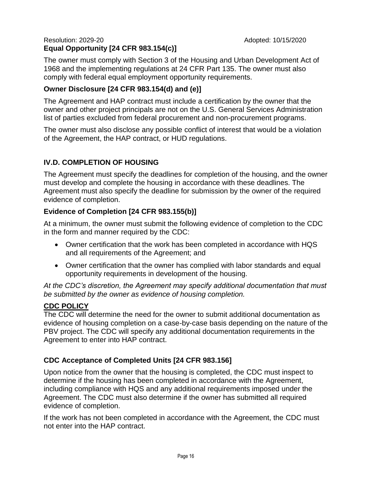#### Resolution: 2029-20 **Adopted: 10/15/2020 Equal Opportunity [24 CFR 983.154(c)]**

The owner must comply with Section 3 of the Housing and Urban Development Act of 1968 and the implementing regulations at 24 CFR Part 135. The owner must also comply with federal equal employment opportunity requirements.

# **Owner Disclosure [24 CFR 983.154(d) and (e)]**

The Agreement and HAP contract must include a certification by the owner that the owner and other project principals are not on the U.S. General Services Administration list of parties excluded from federal procurement and non-procurement programs.

The owner must also disclose any possible conflict of interest that would be a violation of the Agreement, the HAP contract, or HUD regulations.

# **IV.D. COMPLETION OF HOUSING**

The Agreement must specify the deadlines for completion of the housing, and the owner must develop and complete the housing in accordance with these deadlines. The Agreement must also specify the deadline for submission by the owner of the required evidence of completion.

# **Evidence of Completion [24 CFR 983.155(b)]**

At a minimum, the owner must submit the following evidence of completion to the CDC in the form and manner required by the CDC:

- Owner certification that the work has been completed in accordance with HQS and all requirements of the Agreement; and
- Owner certification that the owner has complied with labor standards and equal opportunity requirements in development of the housing.

*At the CDC's discretion, the Agreement may specify additional documentation that must be submitted by the owner as evidence of housing completion.* 

#### **CDC POLICY**

The CDC will determine the need for the owner to submit additional documentation as evidence of housing completion on a case-by-case basis depending on the nature of the PBV project. The CDC will specify any additional documentation requirements in the Agreement to enter into HAP contract.

# **CDC Acceptance of Completed Units [24 CFR 983.156]**

Upon notice from the owner that the housing is completed, the CDC must inspect to determine if the housing has been completed in accordance with the Agreement, including compliance with HQS and any additional requirements imposed under the Agreement. The CDC must also determine if the owner has submitted all required evidence of completion.

If the work has not been completed in accordance with the Agreement, the CDC must not enter into the HAP contract.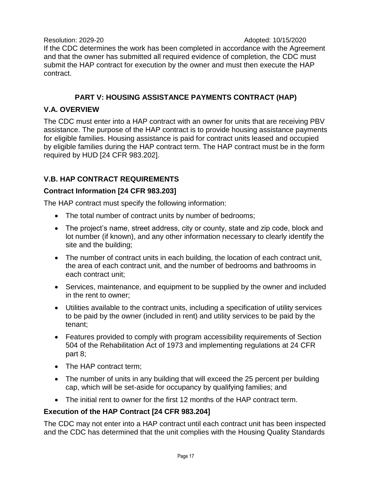Resolution: 2029-20 **Adopted: 10/15/2020** If the CDC determines the work has been completed in accordance with the Agreement and that the owner has submitted all required evidence of completion, the CDC must submit the HAP contract for execution by the owner and must then execute the HAP contract.

# **PART V: HOUSING ASSISTANCE PAYMENTS CONTRACT (HAP)**

# **V.A. OVERVIEW**

The CDC must enter into a HAP contract with an owner for units that are receiving PBV assistance. The purpose of the HAP contract is to provide housing assistance payments for eligible families. Housing assistance is paid for contract units leased and occupied by eligible families during the HAP contract term. The HAP contract must be in the form required by HUD [24 CFR 983.202].

# **V.B. HAP CONTRACT REQUIREMENTS**

# **Contract Information [24 CFR 983.203]**

The HAP contract must specify the following information:

- The total number of contract units by number of bedrooms;
- The project's name, street address, city or county, state and zip code, block and lot number (if known), and any other information necessary to clearly identify the site and the building;
- The number of contract units in each building, the location of each contract unit, the area of each contract unit, and the number of bedrooms and bathrooms in each contract unit;
- Services, maintenance, and equipment to be supplied by the owner and included in the rent to owner;
- Utilities available to the contract units, including a specification of utility services to be paid by the owner (included in rent) and utility services to be paid by the tenant;
- Features provided to comply with program accessibility requirements of Section 504 of the Rehabilitation Act of 1973 and implementing regulations at 24 CFR part 8;
- The HAP contract term;
- The number of units in any building that will exceed the 25 percent per building cap, which will be set-aside for occupancy by qualifying families; and
- The initial rent to owner for the first 12 months of the HAP contract term.

# **Execution of the HAP Contract [24 CFR 983.204]**

The CDC may not enter into a HAP contract until each contract unit has been inspected and the CDC has determined that the unit complies with the Housing Quality Standards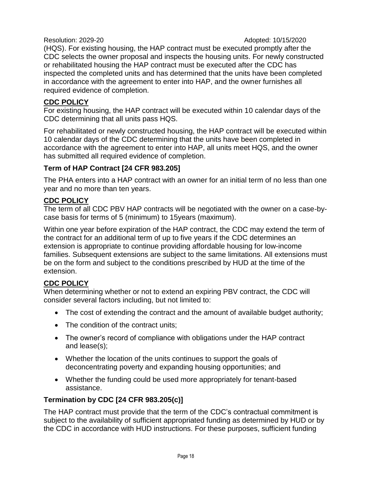(HQS). For existing housing, the HAP contract must be executed promptly after the CDC selects the owner proposal and inspects the housing units. For newly constructed or rehabilitated housing the HAP contract must be executed after the CDC has inspected the completed units and has determined that the units have been completed in accordance with the agreement to enter into HAP, and the owner furnishes all required evidence of completion.

# **CDC POLICY**

For existing housing, the HAP contract will be executed within 10 calendar days of the CDC determining that all units pass HQS.

For rehabilitated or newly constructed housing, the HAP contract will be executed within 10 calendar days of the CDC determining that the units have been completed in accordance with the agreement to enter into HAP, all units meet HQS, and the owner has submitted all required evidence of completion.

# **Term of HAP Contract [24 CFR 983.205]**

The PHA enters into a HAP contract with an owner for an initial term of no less than one year and no more than ten years.

# **CDC POLICY**

The term of all CDC PBV HAP contracts will be negotiated with the owner on a case-bycase basis for terms of 5 (minimum) to 15years (maximum).

Within one year before expiration of the HAP contract, the CDC may extend the term of the contract for an additional term of up to five years if the CDC determines an extension is appropriate to continue providing affordable housing for low-income families. Subsequent extensions are subject to the same limitations. All extensions must be on the form and subject to the conditions prescribed by HUD at the time of the extension.

# **CDC POLICY**

When determining whether or not to extend an expiring PBV contract, the CDC will consider several factors including, but not limited to:

- The cost of extending the contract and the amount of available budget authority;
- The condition of the contract units:
- The owner's record of compliance with obligations under the HAP contract and lease(s);
- Whether the location of the units continues to support the goals of deconcentrating poverty and expanding housing opportunities; and
- Whether the funding could be used more appropriately for tenant-based assistance.

# **Termination by CDC [24 CFR 983.205(c)]**

The HAP contract must provide that the term of the CDC's contractual commitment is subject to the availability of sufficient appropriated funding as determined by HUD or by the CDC in accordance with HUD instructions. For these purposes, sufficient funding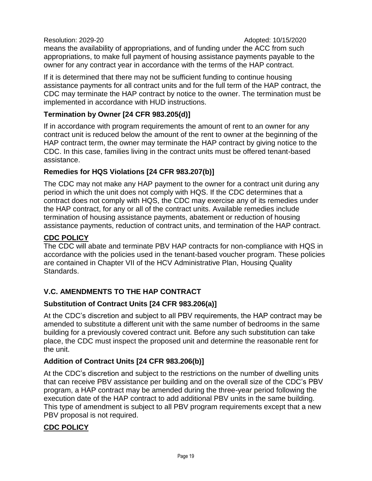means the availability of appropriations, and of funding under the ACC from such appropriations, to make full payment of housing assistance payments payable to the owner for any contract year in accordance with the terms of the HAP contract.

If it is determined that there may not be sufficient funding to continue housing assistance payments for all contract units and for the full term of the HAP contract, the CDC may terminate the HAP contract by notice to the owner. The termination must be implemented in accordance with HUD instructions.

## **Termination by Owner [24 CFR 983.205(d)]**

If in accordance with program requirements the amount of rent to an owner for any contract unit is reduced below the amount of the rent to owner at the beginning of the HAP contract term, the owner may terminate the HAP contract by giving notice to the CDC. In this case, families living in the contract units must be offered tenant-based assistance.

#### **Remedies for HQS Violations [24 CFR 983.207(b)]**

The CDC may not make any HAP payment to the owner for a contract unit during any period in which the unit does not comply with HQS. If the CDC determines that a contract does not comply with HQS, the CDC may exercise any of its remedies under the HAP contract, for any or all of the contract units. Available remedies include termination of housing assistance payments, abatement or reduction of housing assistance payments, reduction of contract units, and termination of the HAP contract.

# **CDC POLICY**

The CDC will abate and terminate PBV HAP contracts for non-compliance with HQS in accordance with the policies used in the tenant-based voucher program. These policies are contained in Chapter VII of the HCV Administrative Plan, Housing Quality Standards.

# **V.C. AMENDMENTS TO THE HAP CONTRACT**

# **Substitution of Contract Units [24 CFR 983.206(a)]**

At the CDC's discretion and subject to all PBV requirements, the HAP contract may be amended to substitute a different unit with the same number of bedrooms in the same building for a previously covered contract unit. Before any such substitution can take place, the CDC must inspect the proposed unit and determine the reasonable rent for the unit.

# **Addition of Contract Units [24 CFR 983.206(b)]**

At the CDC's discretion and subject to the restrictions on the number of dwelling units that can receive PBV assistance per building and on the overall size of the CDC's PBV program, a HAP contract may be amended during the three-year period following the execution date of the HAP contract to add additional PBV units in the same building. This type of amendment is subject to all PBV program requirements except that a new PBV proposal is not required.

#### **CDC POLICY**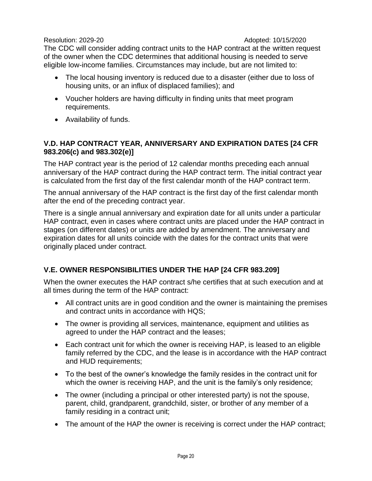The CDC will consider adding contract units to the HAP contract at the written request of the owner when the CDC determines that additional housing is needed to serve eligible low-income families. Circumstances may include, but are not limited to:

- The local housing inventory is reduced due to a disaster (either due to loss of housing units, or an influx of displaced families); and
- Voucher holders are having difficulty in finding units that meet program requirements.
- Availability of funds.

## **V.D. HAP CONTRACT YEAR, ANNIVERSARY AND EXPIRATION DATES [24 CFR 983.206(c) and 983.302(e)]**

The HAP contract year is the period of 12 calendar months preceding each annual anniversary of the HAP contract during the HAP contract term. The initial contract year is calculated from the first day of the first calendar month of the HAP contract term.

The annual anniversary of the HAP contract is the first day of the first calendar month after the end of the preceding contract year.

There is a single annual anniversary and expiration date for all units under a particular HAP contract, even in cases where contract units are placed under the HAP contract in stages (on different dates) or units are added by amendment. The anniversary and expiration dates for all units coincide with the dates for the contract units that were originally placed under contract.

# **V.E. OWNER RESPONSIBILITIES UNDER THE HAP [24 CFR 983.209]**

When the owner executes the HAP contract s/he certifies that at such execution and at all times during the term of the HAP contract:

- All contract units are in good condition and the owner is maintaining the premises and contract units in accordance with HQS;
- The owner is providing all services, maintenance, equipment and utilities as agreed to under the HAP contract and the leases;
- Each contract unit for which the owner is receiving HAP, is leased to an eligible family referred by the CDC, and the lease is in accordance with the HAP contract and HUD requirements;
- To the best of the owner's knowledge the family resides in the contract unit for which the owner is receiving HAP, and the unit is the family's only residence;
- The owner (including a principal or other interested party) is not the spouse, parent, child, grandparent, grandchild, sister, or brother of any member of a family residing in a contract unit;
- The amount of the HAP the owner is receiving is correct under the HAP contract;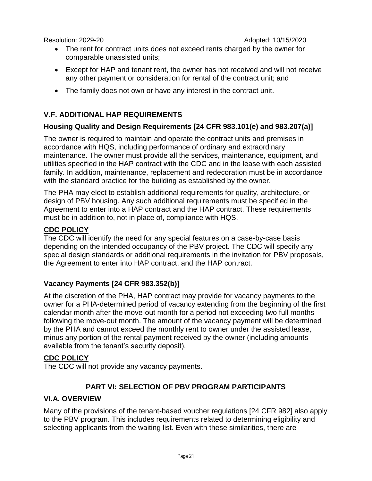- The rent for contract units does not exceed rents charged by the owner for comparable unassisted units;
- Except for HAP and tenant rent, the owner has not received and will not receive any other payment or consideration for rental of the contract unit; and
- The family does not own or have any interest in the contract unit.

# **V.F. ADDITIONAL HAP REQUIREMENTS**

# **Housing Quality and Design Requirements [24 CFR 983.101(e) and 983.207(a)]**

The owner is required to maintain and operate the contract units and premises in accordance with HQS, including performance of ordinary and extraordinary maintenance. The owner must provide all the services, maintenance, equipment, and utilities specified in the HAP contract with the CDC and in the lease with each assisted family. In addition, maintenance, replacement and redecoration must be in accordance with the standard practice for the building as established by the owner.

The PHA may elect to establish additional requirements for quality, architecture, or design of PBV housing. Any such additional requirements must be specified in the Agreement to enter into a HAP contract and the HAP contract. These requirements must be in addition to, not in place of, compliance with HQS.

#### **CDC POLICY**

The CDC will identify the need for any special features on a case-by-case basis depending on the intended occupancy of the PBV project. The CDC will specify any special design standards or additional requirements in the invitation for PBV proposals, the Agreement to enter into HAP contract, and the HAP contract.

# **Vacancy Payments [24 CFR 983.352(b)]**

At the discretion of the PHA, HAP contract may provide for vacancy payments to the owner for a PHA-determined period of vacancy extending from the beginning of the first calendar month after the move-out month for a period not exceeding two full months following the move-out month. The amount of the vacancy payment will be determined by the PHA and cannot exceed the monthly rent to owner under the assisted lease, minus any portion of the rental payment received by the owner (including amounts available from the tenant's security deposit).

#### **CDC POLICY**

The CDC will not provide any vacancy payments.

# **PART VI: SELECTION OF PBV PROGRAM PARTICIPANTS**

#### **VI.A. OVERVIEW**

Many of the provisions of the tenant-based voucher regulations [24 CFR 982] also apply to the PBV program. This includes requirements related to determining eligibility and selecting applicants from the waiting list. Even with these similarities, there are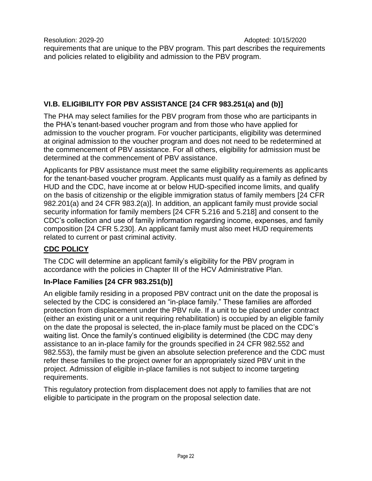Resolution: 2029-20 **Adopted: 10/15/2020** requirements that are unique to the PBV program. This part describes the requirements and policies related to eligibility and admission to the PBV program.

# **VI.B. ELIGIBILITY FOR PBV ASSISTANCE [24 CFR 983.251(a) and (b)]**

The PHA may select families for the PBV program from those who are participants in the PHA's tenant-based voucher program and from those who have applied for admission to the voucher program. For voucher participants, eligibility was determined at original admission to the voucher program and does not need to be redetermined at the commencement of PBV assistance. For all others, eligibility for admission must be determined at the commencement of PBV assistance.

Applicants for PBV assistance must meet the same eligibility requirements as applicants for the tenant-based voucher program. Applicants must qualify as a family as defined by HUD and the CDC, have income at or below HUD-specified income limits, and qualify on the basis of citizenship or the eligible immigration status of family members [24 CFR 982.201(a) and 24 CFR 983.2(a)]. In addition, an applicant family must provide social security information for family members [24 CFR 5.216 and 5.218] and consent to the CDC's collection and use of family information regarding income, expenses, and family composition [24 CFR 5.230]. An applicant family must also meet HUD requirements related to current or past criminal activity.

# **CDC POLICY**

The CDC will determine an applicant family's eligibility for the PBV program in accordance with the policies in Chapter III of the HCV Administrative Plan.

# **In-Place Families [24 CFR 983.251(b)]**

An eligible family residing in a proposed PBV contract unit on the date the proposal is selected by the CDC is considered an "in-place family." These families are afforded protection from displacement under the PBV rule. If a unit to be placed under contract (either an existing unit or a unit requiring rehabilitation) is occupied by an eligible family on the date the proposal is selected, the in-place family must be placed on the CDC's waiting list. Once the family's continued eligibility is determined (the CDC may deny assistance to an in-place family for the grounds specified in 24 CFR 982.552 and 982.553), the family must be given an absolute selection preference and the CDC must refer these families to the project owner for an appropriately sized PBV unit in the project. Admission of eligible in-place families is not subject to income targeting requirements.

This regulatory protection from displacement does not apply to families that are not eligible to participate in the program on the proposal selection date.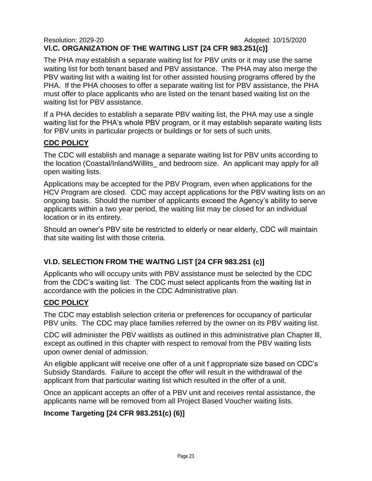#### Resolution: 2029-20 **Adopted: 10/15/2020 Vl.C. ORGANIZATION OF THE WAITING LIST [24 CFR 983.251(c)]**

The PHA may establish a separate waiting list for PBV units or it may use the same waiting list for both tenant based and PBV assistance. The PHA may also merge the PBV waiting list with a waiting list for other assisted housing programs offered by the PHA. If the PHA chooses to offer a separate waiting list for PBV assistance, the PHA must offer to place applicants who are listed on the tenant based waiting list on the waiting list for PBV assistance.

If a PHA decides to establish a separate PBV waiting list, the PHA may use a single waiting list for the PHA's whole PBV program, or it may establish separate waiting lists for PBV units in particular projects or buildings or for sets of such units.

# **CDC POLICY**

The CDC will establish and manage a separate waiting list for PBV units according to the location (Coastal/Inland/Willits\_ and bedroom size. An applicant may apply for all open waiting lists.

Applications may be accepted for the PBV Program, even when applications for the HCV Program are closed. CDC may accept applications for the PBV waiting lists on an ongoing basis. Should the number of applicants exceed the Agency's ability to serve applicants within a two year period, the waiting list may be closed for an individual location or in its entirety.

Should an owner's PBV site be restricted to elderly or near elderly, CDC will maintain that site waiting list with those criteria.

# **Vl.D. SELECTION FROM THE WAITNG LIST [24 CFR 983.251 (c)]**

Applicants who will occupy units with PBV assistance must be selected by the CDC from the CDC's waiting list. The CDC must select applicants from the waiting list in accordance with the policies in the CDC Administrative plan.

# **CDC POLICY**

The CDC may establish selection criteria or preferences for occupancy of particular PBV units. The CDC may place families referred by the owner on its PBV waiting list.

CDC will administer the PBV waitlists as outlined in this administrative plan Chapter lll, except as outlined in this chapter with respect to removal from the PBV waiting lists upon owner denial of admission.

An eligible applicant will receive one offer of a unit f appropriate size based on CDC's Subsidy Standards. Failure to accept the offer will result in the withdrawal of the applicant from that particular waiting list which resulted in the offer of a unit.

Once an applicant accepts an offer of a PBV unit and receives rental assistance, the applicants name will be removed from all Project Based Voucher waiting lists.

# **Income Targeting [24 CFR 983.251(c) (6)]**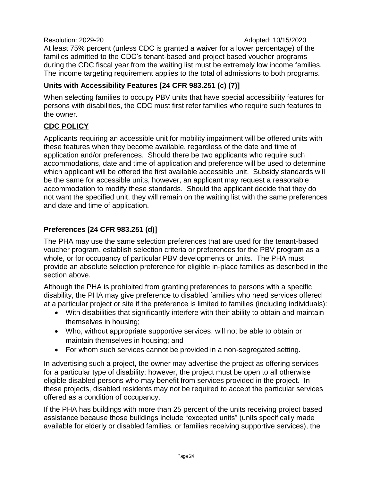At least 75% percent (unless CDC is granted a waiver for a lower percentage) of the families admitted to the CDC's tenant-based and project based voucher programs during the CDC fiscal year from the waiting list must be extremely low income families. The income targeting requirement applies to the total of admissions to both programs.

#### **Units with Accessibility Features [24 CFR 983.251 (c) (7)]**

When selecting families to occupy PBV units that have special accessibility features for persons with disabilities, the CDC must first refer families who require such features to the owner.

# **CDC POLICY**

Applicants requiring an accessible unit for mobility impairment will be offered units with these features when they become available, regardless of the date and time of application and/or preferences. Should there be two applicants who require such accommodations, date and time of application and preference will be used to determine which applicant will be offered the first available accessible unit. Subsidy standards will be the same for accessible units, however, an applicant may request a reasonable accommodation to modify these standards. Should the applicant decide that they do not want the specified unit, they will remain on the waiting list with the same preferences and date and time of application.

# **Preferences [24 CFR 983.251 (d)]**

The PHA may use the same selection preferences that are used for the tenant-based voucher program, establish selection criteria or preferences for the PBV program as a whole, or for occupancy of particular PBV developments or units. The PHA must provide an absolute selection preference for eligible in-place families as described in the section above.

Although the PHA is prohibited from granting preferences to persons with a specific disability, the PHA may give preference to disabled families who need services offered at a particular project or site if the preference is limited to families (including individuals):

- With disabilities that significantly interfere with their ability to obtain and maintain themselves in housing;
- Who, without appropriate supportive services, will not be able to obtain or maintain themselves in housing; and
- For whom such services cannot be provided in a non-segregated setting.

In advertising such a project, the owner may advertise the project as offering services for a particular type of disability; however, the project must be open to all otherwise eligible disabled persons who may benefit from services provided in the project. In these projects, disabled residents may not be required to accept the particular services offered as a condition of occupancy.

If the PHA has buildings with more than 25 percent of the units receiving project based assistance because those buildings include "excepted units" (units specifically made available for elderly or disabled families, or families receiving supportive services), the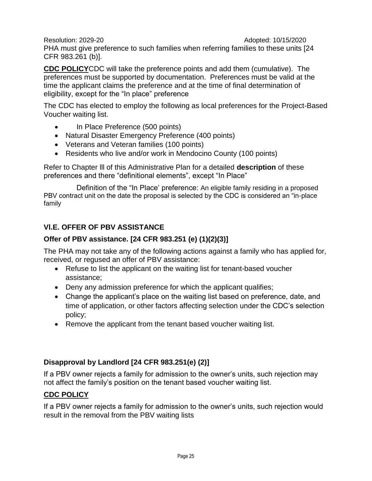Resolution: 2029-20 **Adopted: 10/15/2020** PHA must give preference to such families when referring families to these units [24 CFR 983.261 (b)].

**CDC POLICY**CDC will take the preference points and add them (cumulative). The preferences must be supported by documentation. Preferences must be valid at the time the applicant claims the preference and at the time of final determination of eligibility, except for the "In place" preference

The CDC has elected to employ the following as local preferences for the Project-Based Voucher waiting list.

- In Place Preference (500 points)
- Natural Disaster Emergency Preference (400 points)
- Veterans and Veteran families (100 points)
- Residents who live and/or work in Mendocino County (100 points)

Refer to Chapter lll of this Administrative Plan for a detailed **description** of these preferences and there "definitional elements", except "In Place"

Definition of the "In Place' preference: An eligible family residing in a proposed PBV contract unit on the date the proposal is selected by the CDC is considered an "in-place family

# **Vl.E. OFFER OF PBV ASSISTANCE**

# **Offer of PBV assistance. [24 CFR 983.251 (e) (1)(2)(3)]**

The PHA may not take any of the following actions against a family who has applied for, received, or regused an offer of PBV assistance:

- Refuse to list the applicant on the waiting list for tenant-based voucher assistance;
- Deny any admission preference for which the applicant qualifies;
- Change the applicant's place on the waiting list based on preference, date, and time of application, or other factors affecting selection under the CDC's selection policy;
- Remove the applicant from the tenant based voucher waiting list.

# **Disapproval by Landlord [24 CFR 983.251(e) (2)]**

If a PBV owner rejects a family for admission to the owner's units, such rejection may not affect the family's position on the tenant based voucher waiting list.

# **CDC POLICY**

If a PBV owner rejects a family for admission to the owner's units, such rejection would result in the removal from the PBV waiting lists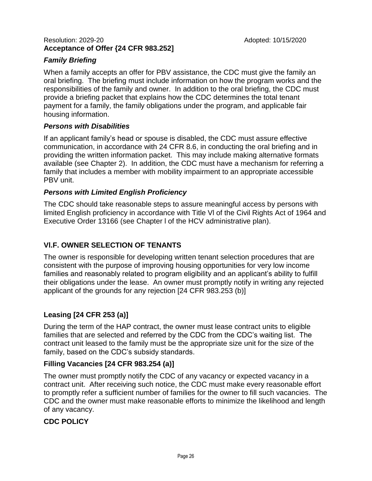#### Resolution: 2029-20 **Adopted: 10/15/2020 Acceptance of Offer {24 CFR 983.252]**

# *Family Briefing*

When a family accepts an offer for PBV assistance, the CDC must give the family an oral briefing. The briefing must include information on how the program works and the responsibilities of the family and owner. In addition to the oral briefing, the CDC must provide a briefing packet that explains how the CDC determines the total tenant payment for a family, the family obligations under the program, and applicable fair housing information.

# *Persons with Disabilities*

If an applicant family's head or spouse is disabled, the CDC must assure effective communication, in accordance with 24 CFR 8.6, in conducting the oral briefing and in providing the written information packet. This may include making alternative formats available (see Chapter 2). In addition, the CDC must have a mechanism for referring a family that includes a member with mobility impairment to an appropriate accessible PBV unit.

# *Persons with Limited English Proficiency*

The CDC should take reasonable steps to assure meaningful access by persons with limited English proficiency in accordance with Title Vl of the Civil Rights Act of 1964 and Executive Order 13166 (see Chapter l of the HCV administrative plan).

# **Vl.F. OWNER SELECTION OF TENANTS**

The owner is responsible for developing written tenant selection procedures that are consistent with the purpose of improving housing opportunities for very low income families and reasonably related to program eligibility and an applicant's ability to fulfill their obligations under the lease. An owner must promptly notify in writing any rejected applicant of the grounds for any rejection [24 CFR 983.253 (b)]

# **Leasing [24 CFR 253 (a)]**

During the term of the HAP contract, the owner must lease contract units to eligible families that are selected and referred by the CDC from the CDC's waiting list. The contract unit leased to the family must be the appropriate size unit for the size of the family, based on the CDC's subsidy standards.

# **Filling Vacancies [24 CFR 983.254 (a)]**

The owner must promptly notify the CDC of any vacancy or expected vacancy in a contract unit. After receiving such notice, the CDC must make every reasonable effort to promptly refer a sufficient number of families for the owner to fill such vacancies. The CDC and the owner must make reasonable efforts to minimize the likelihood and length of any vacancy.

# **CDC POLICY**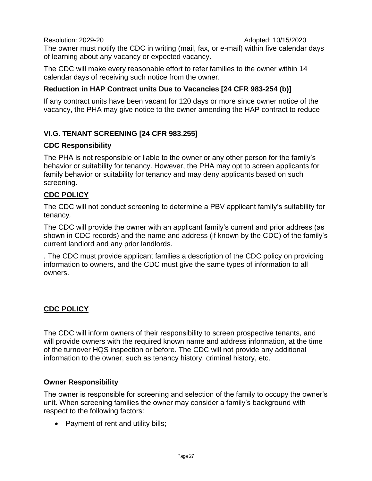The owner must notify the CDC in writing (mail, fax, or e-mail) within five calendar days of learning about any vacancy or expected vacancy.

The CDC will make every reasonable effort to refer families to the owner within 14 calendar days of receiving such notice from the owner.

# **Reduction in HAP Contract units Due to Vacancies [24 CFR 983-254 (b)]**

If any contract units have been vacant for 120 days or more since owner notice of the vacancy, the PHA may give notice to the owner amending the HAP contract to reduce

# **VI.G. TENANT SCREENING [24 CFR 983.255]**

#### **CDC Responsibility**

The PHA is not responsible or liable to the owner or any other person for the family's behavior or suitability for tenancy. However, the PHA may opt to screen applicants for family behavior or suitability for tenancy and may deny applicants based on such screening.

# **CDC POLICY**

The CDC will not conduct screening to determine a PBV applicant family's suitability for tenancy*.*

The CDC will provide the owner with an applicant family's current and prior address (as shown in CDC records) and the name and address (if known by the CDC) of the family's current landlord and any prior landlords.

. The CDC must provide applicant families a description of the CDC policy on providing information to owners, and the CDC must give the same types of information to all owners.

# **CDC POLICY**

The CDC will inform owners of their responsibility to screen prospective tenants, and will provide owners with the required known name and address information, at the time of the turnover HQS inspection or before. The CDC will not provide any additional information to the owner, such as tenancy history, criminal history, etc.

# **Owner Responsibility**

The owner is responsible for screening and selection of the family to occupy the owner's unit. When screening families the owner may consider a family's background with respect to the following factors:

• Payment of rent and utility bills;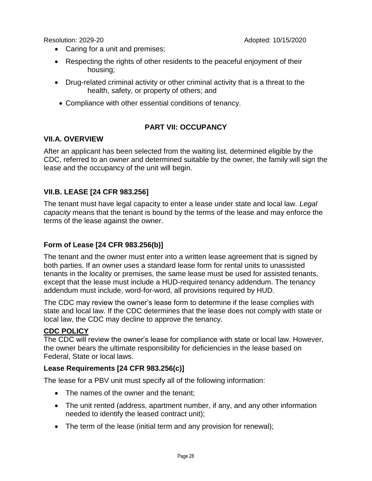- Caring for a unit and premises;
- Respecting the rights of other residents to the peaceful enjoyment of their housing;
- Drug-related criminal activity or other criminal activity that is a threat to the health, safety, or property of others; and
- Compliance with other essential conditions of tenancy.

# **PART VII: OCCUPANCY**

#### **VII.A. OVERVIEW**

After an applicant has been selected from the waiting list, determined eligible by the CDC, referred to an owner and determined suitable by the owner, the family will sign the lease and the occupancy of the unit will begin.

# **VII.B. LEASE [24 CFR 983.256]**

The tenant must have legal capacity to enter a lease under state and local law. *Legal capacity* means that the tenant is bound by the terms of the lease and may enforce the terms of the lease against the owner.

# **Form of Lease [24 CFR 983.256(b)]**

The tenant and the owner must enter into a written lease agreement that is signed by both parties. If an owner uses a standard lease form for rental units to unassisted tenants in the locality or premises, the same lease must be used for assisted tenants, except that the lease must include a HUD-required tenancy addendum. The tenancy addendum must include, word-for-word, all provisions required by HUD.

The CDC may review the owner's lease form to determine if the lease complies with state and local law. If the CDC determines that the lease does not comply with state or local law, the CDC may decline to approve the tenancy.

#### **CDC POLICY**

The CDC will review the owner's lease for compliance with state or local law. However, the owner bears the ultimate responsibility for deficiencies in the lease based on Federal, State or local laws.

#### **Lease Requirements [24 CFR 983.256(c)]**

The lease for a PBV unit must specify all of the following information:

- The names of the owner and the tenant
- The unit rented (address, apartment number, if any, and any other information needed to identify the leased contract unit);
- The term of the lease (initial term and any provision for renewal);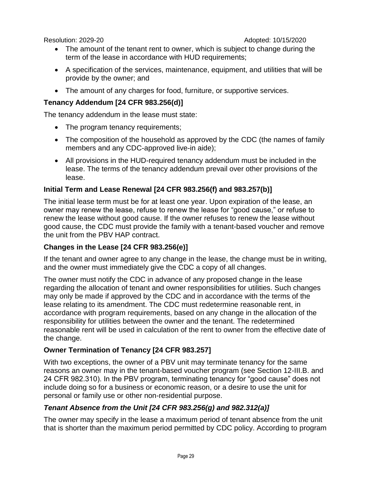- The amount of the tenant rent to owner, which is subject to change during the term of the lease in accordance with HUD requirements;
- A specification of the services, maintenance, equipment, and utilities that will be provide by the owner; and
- The amount of any charges for food, furniture, or supportive services.

# **Tenancy Addendum [24 CFR 983.256(d)]**

The tenancy addendum in the lease must state:

- The program tenancy requirements;
- The composition of the household as approved by the CDC (the names of family members and any CDC-approved live-in aide);
- All provisions in the HUD-required tenancy addendum must be included in the lease. The terms of the tenancy addendum prevail over other provisions of the lease.

# **Initial Term and Lease Renewal [24 CFR 983.256(f) and 983.257(b)]**

The initial lease term must be for at least one year. Upon expiration of the lease, an owner may renew the lease, refuse to renew the lease for "good cause," or refuse to renew the lease without good cause. If the owner refuses to renew the lease without good cause, the CDC must provide the family with a tenant-based voucher and remove the unit from the PBV HAP contract.

# **Changes in the Lease [24 CFR 983.256(e)]**

If the tenant and owner agree to any change in the lease, the change must be in writing, and the owner must immediately give the CDC a copy of all changes.

The owner must notify the CDC in advance of any proposed change in the lease regarding the allocation of tenant and owner responsibilities for utilities. Such changes may only be made if approved by the CDC and in accordance with the terms of the lease relating to its amendment. The CDC must redetermine reasonable rent, in accordance with program requirements, based on any change in the allocation of the responsibility for utilities between the owner and the tenant. The redetermined reasonable rent will be used in calculation of the rent to owner from the effective date of the change.

# **Owner Termination of Tenancy [24 CFR 983.257]**

With two exceptions, the owner of a PBV unit may terminate tenancy for the same reasons an owner may in the tenant-based voucher program (see Section 12-III.B. and 24 CFR 982.310). In the PBV program, terminating tenancy for "good cause" does not include doing so for a business or economic reason, or a desire to use the unit for personal or family use or other non-residential purpose.

# *Tenant Absence from the Unit [24 CFR 983.256(g) and 982.312(a)]*

The owner may specify in the lease a maximum period of tenant absence from the unit that is shorter than the maximum period permitted by CDC policy. According to program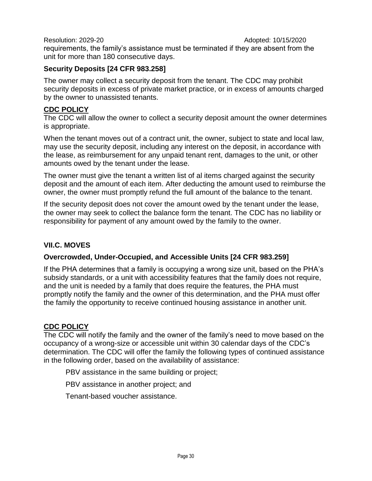Resolution: 2029-20 **Adopted: 10/15/2020** requirements, the family's assistance must be terminated if they are absent from the unit for more than 180 consecutive days.

# **Security Deposits [24 CFR 983.258]**

The owner may collect a security deposit from the tenant. The CDC may prohibit security deposits in excess of private market practice, or in excess of amounts charged by the owner to unassisted tenants.

# **CDC POLICY**

The CDC will allow the owner to collect a security deposit amount the owner determines is appropriate.

When the tenant moves out of a contract unit, the owner, subject to state and local law, may use the security deposit, including any interest on the deposit, in accordance with the lease, as reimbursement for any unpaid tenant rent, damages to the unit, or other amounts owed by the tenant under the lease.

The owner must give the tenant a written list of al items charged against the security deposit and the amount of each item. After deducting the amount used to reimburse the owner, the owner must promptly refund the full amount of the balance to the tenant.

If the security deposit does not cover the amount owed by the tenant under the lease, the owner may seek to collect the balance form the tenant. The CDC has no liability or responsibility for payment of any amount owed by the family to the owner.

# **VII.C. MOVES**

# **Overcrowded, Under-Occupied, and Accessible Units [24 CFR 983.259]**

If the PHA determines that a family is occupying a wrong size unit, based on the PHA's subsidy standards, or a unit with accessibility features that the family does not require, and the unit is needed by a family that does require the features, the PHA must promptly notify the family and the owner of this determination, and the PHA must offer the family the opportunity to receive continued housing assistance in another unit.

# **CDC POLICY**

The CDC will notify the family and the owner of the family's need to move based on the occupancy of a wrong-size or accessible unit within 30 calendar days of the CDC's determination. The CDC will offer the family the following types of continued assistance in the following order, based on the availability of assistance:

PBV assistance in the same building or project;

PBV assistance in another project; and

Tenant-based voucher assistance.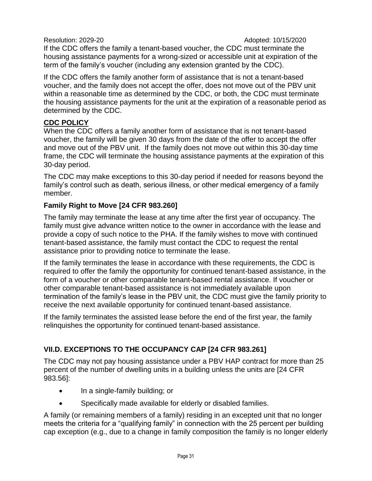If the CDC offers the family a tenant-based voucher, the CDC must terminate the housing assistance payments for a wrong-sized or accessible unit at expiration of the term of the family's voucher (including any extension granted by the CDC).

If the CDC offers the family another form of assistance that is not a tenant-based voucher, and the family does not accept the offer, does not move out of the PBV unit within a reasonable time as determined by the CDC, or both, the CDC must terminate the housing assistance payments for the unit at the expiration of a reasonable period as determined by the CDC.

# **CDC POLICY**

When the CDC offers a family another form of assistance that is not tenant-based voucher, the family will be given 30 days from the date of the offer to accept the offer and move out of the PBV unit. If the family does not move out within this 30-day time frame, the CDC will terminate the housing assistance payments at the expiration of this 30-day period.

The CDC may make exceptions to this 30-day period if needed for reasons beyond the family's control such as death, serious illness, or other medical emergency of a family member.

# **Family Right to Move [24 CFR 983.260]**

The family may terminate the lease at any time after the first year of occupancy. The family must give advance written notice to the owner in accordance with the lease and provide a copy of such notice to the PHA. If the family wishes to move with continued tenant-based assistance, the family must contact the CDC to request the rental assistance prior to providing notice to terminate the lease.

If the family terminates the lease in accordance with these requirements, the CDC is required to offer the family the opportunity for continued tenant-based assistance, in the form of a voucher or other comparable tenant-based rental assistance. If voucher or other comparable tenant-based assistance is not immediately available upon termination of the family's lease in the PBV unit, the CDC must give the family priority to receive the next available opportunity for continued tenant-based assistance.

If the family terminates the assisted lease before the end of the first year, the family relinquishes the opportunity for continued tenant-based assistance.

# **VII.D. EXCEPTIONS TO THE OCCUPANCY CAP [24 CFR 983.261]**

The CDC may not pay housing assistance under a PBV HAP contract for more than 25 percent of the number of dwelling units in a building unless the units are [24 CFR 983.56]:

- In a single-family building; or
- Specifically made available for elderly or disabled families.

A family (or remaining members of a family) residing in an excepted unit that no longer meets the criteria for a "qualifying family" in connection with the 25 percent per building cap exception (e.g., due to a change in family composition the family is no longer elderly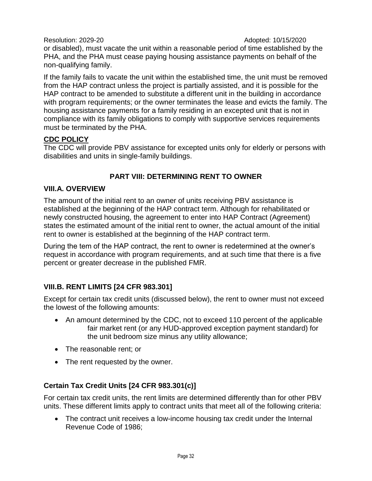or disabled), must vacate the unit within a reasonable period of time established by the PHA, and the PHA must cease paying housing assistance payments on behalf of the non-qualifying family.

If the family fails to vacate the unit within the established time, the unit must be removed from the HAP contract unless the project is partially assisted, and it is possible for the HAP contract to be amended to substitute a different unit in the building in accordance with program requirements; or the owner terminates the lease and evicts the family. The housing assistance payments for a family residing in an excepted unit that is not in compliance with its family obligations to comply with supportive services requirements must be terminated by the PHA.

#### **CDC POLICY**

The CDC will provide PBV assistance for excepted units only for elderly or persons with disabilities and units in single-family buildings.

# **PART VIII: DETERMINING RENT TO OWNER**

#### **VIII.A. OVERVIEW**

The amount of the initial rent to an owner of units receiving PBV assistance is established at the beginning of the HAP contract term. Although for rehabilitated or newly constructed housing, the agreement to enter into HAP Contract (Agreement) states the estimated amount of the initial rent to owner, the actual amount of the initial rent to owner is established at the beginning of the HAP contract term.

During the tem of the HAP contract, the rent to owner is redetermined at the owner's request in accordance with program requirements, and at such time that there is a five percent or greater decrease in the published FMR.

# **VIII.B. RENT LIMITS [24 CFR 983.301]**

Except for certain tax credit units (discussed below), the rent to owner must not exceed the lowest of the following amounts:

- An amount determined by the CDC, not to exceed 110 percent of the applicable fair market rent (or any HUD-approved exception payment standard) for the unit bedroom size minus any utility allowance;
- The reasonable rent; or
- The rent requested by the owner.

# **Certain Tax Credit Units [24 CFR 983.301(c)]**

For certain tax credit units, the rent limits are determined differently than for other PBV units. These different limits apply to contract units that meet all of the following criteria:

 The contract unit receives a low-income housing tax credit under the Internal Revenue Code of 1986;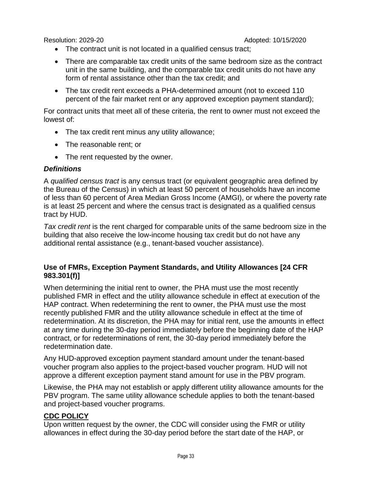- The contract unit is not located in a qualified census tract;
- There are comparable tax credit units of the same bedroom size as the contract unit in the same building, and the comparable tax credit units do not have any form of rental assistance other than the tax credit; and
- The tax credit rent exceeds a PHA-determined amount (not to exceed 110 percent of the fair market rent or any approved exception payment standard);

For contract units that meet all of these criteria, the rent to owner must not exceed the lowest of:

- The tax credit rent minus any utility allowance;
- The reasonable rent; or
- The rent requested by the owner.

#### *Definitions*

A *qualified census tract* is any census tract (or equivalent geographic area defined by the Bureau of the Census) in which at least 50 percent of households have an income of less than 60 percent of Area Median Gross Income (AMGI), or where the poverty rate is at least 25 percent and where the census tract is designated as a qualified census tract by HUD.

*Tax credit rent* is the rent charged for comparable units of the same bedroom size in the building that also receive the low-income housing tax credit but do not have any additional rental assistance (e.g., tenant-based voucher assistance).

#### **Use of FMRs, Exception Payment Standards, and Utility Allowances [24 CFR 983.301(f)]**

When determining the initial rent to owner, the PHA must use the most recently published FMR in effect and the utility allowance schedule in effect at execution of the HAP contract. When redetermining the rent to owner, the PHA must use the most recently published FMR and the utility allowance schedule in effect at the time of redetermination. At its discretion, the PHA may for initial rent, use the amounts in effect at any time during the 30-day period immediately before the beginning date of the HAP contract, or for redeterminations of rent, the 30-day period immediately before the redetermination date.

Any HUD-approved exception payment standard amount under the tenant-based voucher program also applies to the project-based voucher program. HUD will not approve a different exception payment stand amount for use in the PBV program.

Likewise, the PHA may not establish or apply different utility allowance amounts for the PBV program. The same utility allowance schedule applies to both the tenant-based and project-based voucher programs.

#### **CDC POLICY**

Upon written request by the owner, the CDC will consider using the FMR or utility allowances in effect during the 30-day period before the start date of the HAP, or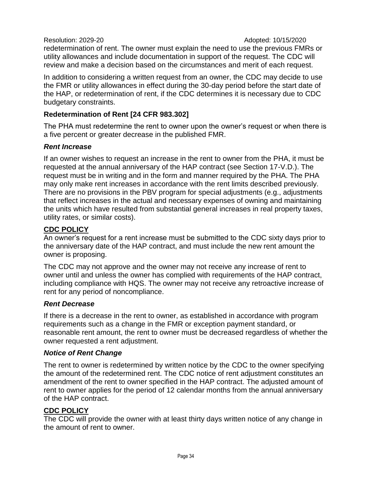redetermination of rent. The owner must explain the need to use the previous FMRs or utility allowances and include documentation in support of the request. The CDC will review and make a decision based on the circumstances and merit of each request.

In addition to considering a written request from an owner, the CDC may decide to use the FMR or utility allowances in effect during the 30-day period before the start date of the HAP, or redetermination of rent, if the CDC determines it is necessary due to CDC budgetary constraints.

#### **Redetermination of Rent [24 CFR 983.302]**

The PHA must redetermine the rent to owner upon the owner's request or when there is a five percent or greater decrease in the published FMR.

#### *Rent Increase*

If an owner wishes to request an increase in the rent to owner from the PHA, it must be requested at the annual anniversary of the HAP contract (see Section 17-V.D.). The request must be in writing and in the form and manner required by the PHA. The PHA may only make rent increases in accordance with the rent limits described previously. There are no provisions in the PBV program for special adjustments (e.g., adjustments that reflect increases in the actual and necessary expenses of owning and maintaining the units which have resulted from substantial general increases in real property taxes, utility rates, or similar costs).

#### **CDC POLICY**

An owner's request for a rent increase must be submitted to the CDC sixty days prior to the anniversary date of the HAP contract, and must include the new rent amount the owner is proposing.

The CDC may not approve and the owner may not receive any increase of rent to owner until and unless the owner has complied with requirements of the HAP contract, including compliance with HQS. The owner may not receive any retroactive increase of rent for any period of noncompliance.

#### *Rent Decrease*

If there is a decrease in the rent to owner, as established in accordance with program requirements such as a change in the FMR or exception payment standard, or reasonable rent amount, the rent to owner must be decreased regardless of whether the owner requested a rent adjustment.

#### *Notice of Rent Change*

The rent to owner is redetermined by written notice by the CDC to the owner specifying the amount of the redetermined rent. The CDC notice of rent adjustment constitutes an amendment of the rent to owner specified in the HAP contract. The adjusted amount of rent to owner applies for the period of 12 calendar months from the annual anniversary of the HAP contract.

# **CDC POLICY**

The CDC will provide the owner with at least thirty days written notice of any change in the amount of rent to owner.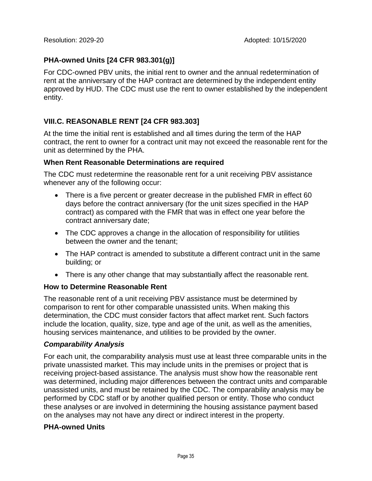# **PHA-owned Units [24 CFR 983.301(g)]**

For CDC-owned PBV units, the initial rent to owner and the annual redetermination of rent at the anniversary of the HAP contract are determined by the independent entity approved by HUD. The CDC must use the rent to owner established by the independent entity.

# **VIII.C. REASONABLE RENT [24 CFR 983.303]**

At the time the initial rent is established and all times during the term of the HAP contract, the rent to owner for a contract unit may not exceed the reasonable rent for the unit as determined by the PHA.

#### **When Rent Reasonable Determinations are required**

The CDC must redetermine the reasonable rent for a unit receiving PBV assistance whenever any of the following occur:

- There is a five percent or greater decrease in the published FMR in effect 60 days before the contract anniversary (for the unit sizes specified in the HAP contract) as compared with the FMR that was in effect one year before the contract anniversary date;
- The CDC approves a change in the allocation of responsibility for utilities between the owner and the tenant;
- The HAP contract is amended to substitute a different contract unit in the same building; or
- There is any other change that may substantially affect the reasonable rent.

# **How to Determine Reasonable Rent**

The reasonable rent of a unit receiving PBV assistance must be determined by comparison to rent for other comparable unassisted units. When making this determination, the CDC must consider factors that affect market rent. Such factors include the location, quality, size, type and age of the unit, as well as the amenities, housing services maintenance, and utilities to be provided by the owner.

# *Comparability Analysis*

For each unit, the comparability analysis must use at least three comparable units in the private unassisted market. This may include units in the premises or project that is receiving project-based assistance. The analysis must show how the reasonable rent was determined, including major differences between the contract units and comparable unassisted units, and must be retained by the CDC. The comparability analysis may be performed by CDC staff or by another qualified person or entity. Those who conduct these analyses or are involved in determining the housing assistance payment based on the analyses may not have any direct or indirect interest in the property.

#### **PHA-owned Units**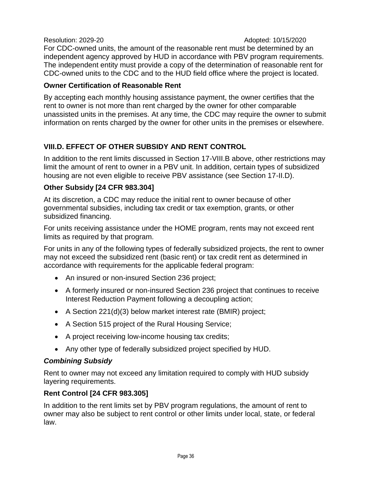Resolution: 2029-20 **Adopted: 10/15/2020** For CDC-owned units, the amount of the reasonable rent must be determined by an independent agency approved by HUD in accordance with PBV program requirements. The independent entity must provide a copy of the determination of reasonable rent for CDC-owned units to the CDC and to the HUD field office where the project is located.

# **Owner Certification of Reasonable Rent**

By accepting each monthly housing assistance payment, the owner certifies that the rent to owner is not more than rent charged by the owner for other comparable unassisted units in the premises. At any time, the CDC may require the owner to submit information on rents charged by the owner for other units in the premises or elsewhere.

# **VIII.D. EFFECT OF OTHER SUBSIDY AND RENT CONTROL**

In addition to the rent limits discussed in Section 17-VIII.B above, other restrictions may limit the amount of rent to owner in a PBV unit. In addition, certain types of subsidized housing are not even eligible to receive PBV assistance (see Section 17-II.D).

# **Other Subsidy [24 CFR 983.304]**

At its discretion, a CDC may reduce the initial rent to owner because of other governmental subsidies, including tax credit or tax exemption, grants, or other subsidized financing.

For units receiving assistance under the HOME program, rents may not exceed rent limits as required by that program.

For units in any of the following types of federally subsidized projects, the rent to owner may not exceed the subsidized rent (basic rent) or tax credit rent as determined in accordance with requirements for the applicable federal program:

- An insured or non-insured Section 236 project;
- A formerly insured or non-insured Section 236 project that continues to receive Interest Reduction Payment following a decoupling action;
- A Section 221(d)(3) below market interest rate (BMIR) project;
- A Section 515 project of the Rural Housing Service;
- A project receiving low-income housing tax credits;
- Any other type of federally subsidized project specified by HUD.

# *Combining Subsidy*

Rent to owner may not exceed any limitation required to comply with HUD subsidy layering requirements.

# **Rent Control [24 CFR 983.305]**

In addition to the rent limits set by PBV program regulations, the amount of rent to owner may also be subject to rent control or other limits under local, state, or federal law.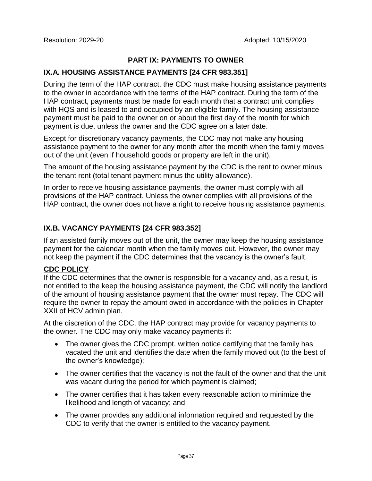# **PART IX: PAYMENTS TO OWNER**

#### **IX.A. HOUSING ASSISTANCE PAYMENTS [24 CFR 983.351]**

During the term of the HAP contract, the CDC must make housing assistance payments to the owner in accordance with the terms of the HAP contract. During the term of the HAP contract, payments must be made for each month that a contract unit complies with HQS and is leased to and occupied by an eligible family. The housing assistance payment must be paid to the owner on or about the first day of the month for which payment is due, unless the owner and the CDC agree on a later date.

Except for discretionary vacancy payments, the CDC may not make any housing assistance payment to the owner for any month after the month when the family moves out of the unit (even if household goods or property are left in the unit).

The amount of the housing assistance payment by the CDC is the rent to owner minus the tenant rent (total tenant payment minus the utility allowance).

In order to receive housing assistance payments, the owner must comply with all provisions of the HAP contract. Unless the owner complies with all provisions of the HAP contract, the owner does not have a right to receive housing assistance payments.

# **IX.B. VACANCY PAYMENTS [24 CFR 983.352]**

If an assisted family moves out of the unit, the owner may keep the housing assistance payment for the calendar month when the family moves out. However, the owner may not keep the payment if the CDC determines that the vacancy is the owner's fault.

#### **CDC POLICY**

If the CDC determines that the owner is responsible for a vacancy and, as a result, is not entitled to the keep the housing assistance payment, the CDC will notify the landlord of the amount of housing assistance payment that the owner must repay. The CDC will require the owner to repay the amount owed in accordance with the policies in Chapter XXII of HCV admin plan.

At the discretion of the CDC, the HAP contract may provide for vacancy payments to the owner. The CDC may only make vacancy payments if:

- The owner gives the CDC prompt, written notice certifying that the family has vacated the unit and identifies the date when the family moved out (to the best of the owner's knowledge);
- The owner certifies that the vacancy is not the fault of the owner and that the unit was vacant during the period for which payment is claimed;
- The owner certifies that it has taken every reasonable action to minimize the likelihood and length of vacancy; and
- The owner provides any additional information required and requested by the CDC to verify that the owner is entitled to the vacancy payment.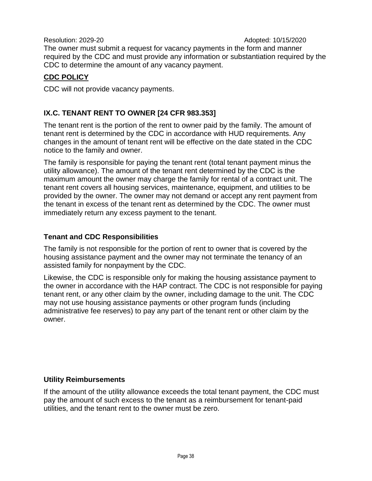The owner must submit a request for vacancy payments in the form and manner required by the CDC and must provide any information or substantiation required by the CDC to determine the amount of any vacancy payment.

# **CDC POLICY**

CDC will not provide vacancy payments.

# **IX.C. TENANT RENT TO OWNER [24 CFR 983.353]**

The tenant rent is the portion of the rent to owner paid by the family. The amount of tenant rent is determined by the CDC in accordance with HUD requirements. Any changes in the amount of tenant rent will be effective on the date stated in the CDC notice to the family and owner.

The family is responsible for paying the tenant rent (total tenant payment minus the utility allowance). The amount of the tenant rent determined by the CDC is the maximum amount the owner may charge the family for rental of a contract unit. The tenant rent covers all housing services, maintenance, equipment, and utilities to be provided by the owner. The owner may not demand or accept any rent payment from the tenant in excess of the tenant rent as determined by the CDC. The owner must immediately return any excess payment to the tenant.

#### **Tenant and CDC Responsibilities**

The family is not responsible for the portion of rent to owner that is covered by the housing assistance payment and the owner may not terminate the tenancy of an assisted family for nonpayment by the CDC.

Likewise, the CDC is responsible only for making the housing assistance payment to the owner in accordance with the HAP contract. The CDC is not responsible for paying tenant rent, or any other claim by the owner, including damage to the unit. The CDC may not use housing assistance payments or other program funds (including administrative fee reserves) to pay any part of the tenant rent or other claim by the owner.

# **Utility Reimbursements**

If the amount of the utility allowance exceeds the total tenant payment, the CDC must pay the amount of such excess to the tenant as a reimbursement for tenant-paid utilities, and the tenant rent to the owner must be zero.